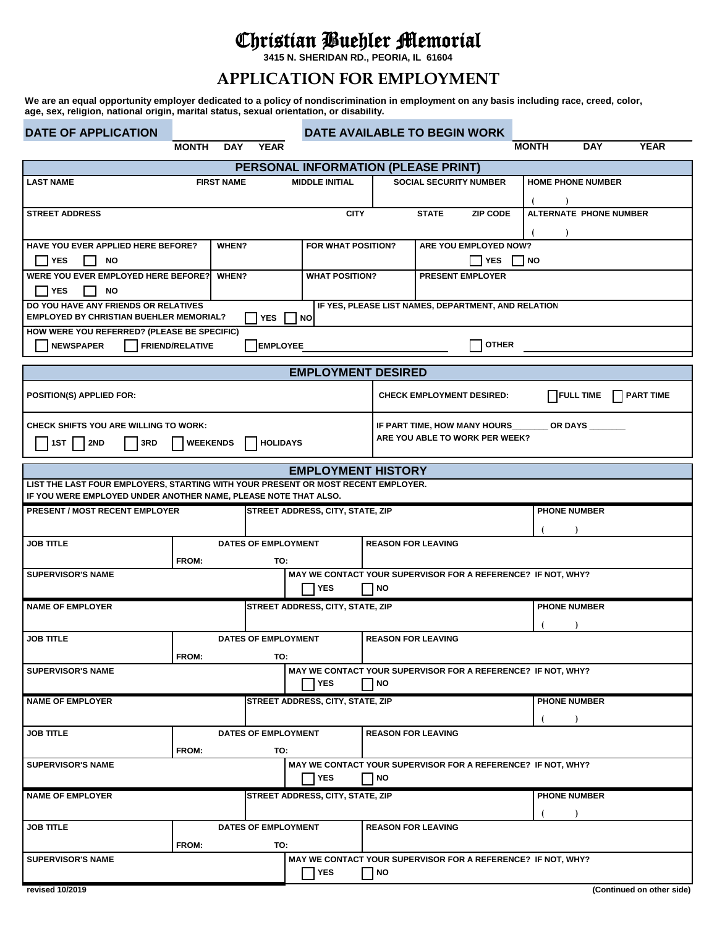## Christian Buehler Memorial

**3415 N. SHERIDAN RD., PEORIA, IL 61604**

## **APPLICATION FOR EMPLOYMENT**

**We are an equal opportunity employer dedicated to a policy of nondiscrimination in employment on any basis including race, creed, color, age, sex, religion, national origin, marital status, sexual orientation, or disability.**

| <b>DATE OF APPLICATION</b>                                                                                     |                        |                     | DATE AVAILABLE TO BEGIN WORK               |                                             |                                                              |              |                               |             |
|----------------------------------------------------------------------------------------------------------------|------------------------|---------------------|--------------------------------------------|---------------------------------------------|--------------------------------------------------------------|--------------|-------------------------------|-------------|
|                                                                                                                | <b>MONTH</b>           | DAY YEAR            |                                            |                                             |                                                              | <b>MONTH</b> | <b>DAY</b>                    | <b>YEAR</b> |
|                                                                                                                |                        |                     | <b>PERSONAL INFORMATION (PLEASE PRINT)</b> |                                             |                                                              |              |                               |             |
| <b>LAST NAME</b>                                                                                               | <b>FIRST NAME</b>      |                     | <b>MIDDLE INITIAL</b>                      |                                             | <b>SOCIAL SECURITY NUMBER</b>                                |              | <b>HOME PHONE NUMBER</b>      |             |
|                                                                                                                |                        |                     |                                            |                                             |                                                              |              |                               |             |
| <b>STREET ADDRESS</b>                                                                                          |                        |                     | <b>CITY</b>                                |                                             | <b>STATE</b><br><b>ZIP CODE</b>                              |              | <b>ALTERNATE PHONE NUMBER</b> |             |
| HAVE YOU EVER APPLIED HERE BEFORE?<br>FOR WHAT POSITION?<br>ARE YOU EMPLOYED NOW?<br>WHEN?                     |                        |                     |                                            |                                             |                                                              |              |                               |             |
| <b>YES</b><br>NO                                                                                               |                        |                     |                                            | <b>YES</b><br>$\blacksquare$ $\blacksquare$ |                                                              |              |                               |             |
| <b>WERE YOU EVER EMPLOYED HERE BEFORE?</b><br><b>WHAT POSITION?</b><br><b>WHEN?</b><br><b>PRESENT EMPLOYER</b> |                        |                     |                                            |                                             |                                                              |              |                               |             |
| <b>I</b> YES<br>ΝO                                                                                             |                        |                     |                                            |                                             |                                                              |              |                               |             |
| DO YOU HAVE ANY FRIENDS OR RELATIVES<br><b>EMPLOYED BY CHRISTIAN BUEHLER MEMORIAL?</b>                         |                        | YES $\Box$          | <b>NO</b>                                  |                                             | IF YES, PLEASE LIST NAMES, DEPARTMENT, AND RELATION          |              |                               |             |
| HOW WERE YOU REFERRED? (PLEASE BE SPECIFIC)                                                                    |                        |                     |                                            |                                             |                                                              |              |                               |             |
| <b>NEWSPAPER</b>                                                                                               | <b>FRIEND/RELATIVE</b> | <b>EMPLOYEE</b>     |                                            |                                             | <b>OTHER</b>                                                 |              |                               |             |
|                                                                                                                |                        |                     | <b>EMPLOYMENT DESIRED</b>                  |                                             |                                                              |              |                               |             |
|                                                                                                                |                        |                     |                                            |                                             |                                                              |              |                               |             |
| <b>POSITION(S) APPLIED FOR:</b>                                                                                |                        |                     |                                            |                                             | <b>CHECK EMPLOYMENT DESIRED:</b>                             |              | <b>FULL TIME</b>              | PART TIME   |
| <b>CHECK SHIFTS YOU ARE WILLING TO WORK:</b>                                                                   |                        |                     |                                            |                                             | IF PART TIME, HOW MANY HOURS                                 |              | OR DAYS                       |             |
| 1ST  <br>2ND<br>3RD                                                                                            | <b>WEEKENDS</b>        | <b>HOLIDAYS</b>     |                                            |                                             | ARE YOU ABLE TO WORK PER WEEK?                               |              |                               |             |
|                                                                                                                |                        |                     | <b>EMPLOYMENT HISTORY</b>                  |                                             |                                                              |              |                               |             |
| LIST THE LAST FOUR EMPLOYERS, STARTING WITH YOUR PRESENT OR MOST RECENT EMPLOYER.                              |                        |                     |                                            |                                             |                                                              |              |                               |             |
| IF YOU WERE EMPLOYED UNDER ANOTHER NAME, PLEASE NOTE THAT ALSO.<br><b>PRESENT / MOST RECENT EMPLOYER</b>       |                        |                     | <b>STREET ADDRESS, CITY, STATE, ZIP</b>    |                                             |                                                              |              | <b>PHONE NUMBER</b>           |             |
|                                                                                                                |                        |                     |                                            |                                             |                                                              |              |                               |             |
| JOB TITLE                                                                                                      |                        | DATES OF EMPLOYMENT |                                            |                                             | <b>REASON FOR LEAVING</b>                                    |              |                               |             |
|                                                                                                                | FROM:                  | TO:                 |                                            |                                             |                                                              |              |                               |             |
| <b>SUPERVISOR'S NAME</b>                                                                                       |                        |                     |                                            |                                             | MAY WE CONTACT YOUR SUPERVISOR FOR A REFERENCE? IF NOT, WHY? |              |                               |             |
|                                                                                                                |                        |                     | <b>YES</b>                                 | NO                                          |                                                              |              |                               |             |
| <b>NAME OF EMPLOYER</b>                                                                                        |                        |                     | STREET ADDRESS, CITY, STATE, ZIP           |                                             |                                                              |              | <b>PHONE NUMBER</b>           |             |
|                                                                                                                |                        |                     |                                            |                                             |                                                              |              |                               |             |
| <b>JOB TITLE</b>                                                                                               |                        | DATES OF EMPLOYMENT |                                            |                                             | <b>REASON FOR LEAVING</b>                                    |              |                               |             |
| <b>SUPERVISOR'S NAME</b>                                                                                       | FROM:                  | TO:                 |                                            |                                             | MAY WE CONTACT YOUR SUPERVISOR FOR A REFERENCE? IF NOT, WHY? |              |                               |             |
|                                                                                                                |                        |                     | <b>YES</b>                                 | NO                                          |                                                              |              |                               |             |
| <b>NAME OF EMPLOYER</b>                                                                                        |                        |                     | STREET ADDRESS, CITY, STATE, ZIP           |                                             |                                                              |              | <b>PHONE NUMBER</b>           |             |
|                                                                                                                |                        |                     |                                            |                                             |                                                              |              |                               |             |
| <b>JOB TITLE</b>                                                                                               |                        | DATES OF EMPLOYMENT |                                            |                                             | <b>REASON FOR LEAVING</b>                                    |              |                               |             |
|                                                                                                                | FROM:                  | TO:                 |                                            |                                             |                                                              |              |                               |             |
| <b>SUPERVISOR'S NAME</b>                                                                                       |                        |                     | <b>YES</b>                                 | NO                                          | MAY WE CONTACT YOUR SUPERVISOR FOR A REFERENCE? IF NOT, WHY? |              |                               |             |
| <b>NAME OF EMPLOYER</b>                                                                                        |                        |                     | STREET ADDRESS, CITY, STATE, ZIP           |                                             |                                                              |              | <b>PHONE NUMBER</b>           |             |
|                                                                                                                |                        |                     |                                            |                                             |                                                              |              |                               |             |
| <b>JOB TITLE</b>                                                                                               |                        | DATES OF EMPLOYMENT |                                            |                                             | <b>REASON FOR LEAVING</b>                                    |              |                               |             |
|                                                                                                                | <b>FROM:</b>           | TO:                 |                                            |                                             |                                                              |              |                               |             |
| MAY WE CONTACT YOUR SUPERVISOR FOR A REFERENCE? IF NOT, WHY?<br><b>SUPERVISOR'S NAME</b>                       |                        |                     |                                            |                                             |                                                              |              |                               |             |
|                                                                                                                |                        |                     | YES                                        | NO                                          |                                                              |              |                               |             |